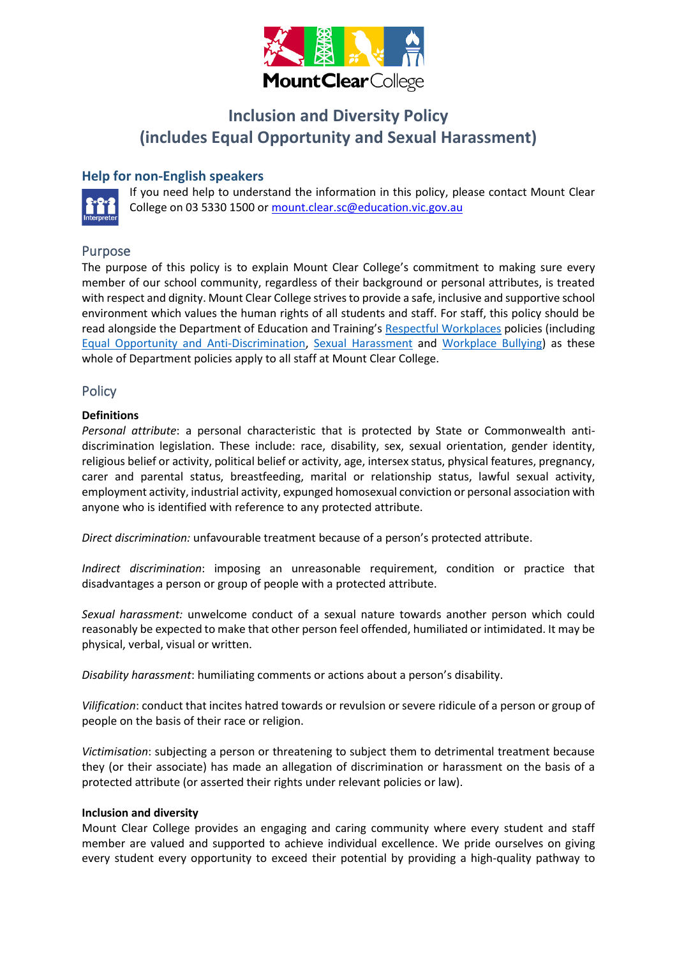

# **Inclusion and Diversity Policy (includes Equal Opportunity and Sexual Harassment)**

## **Help for non-English speakers**



If you need help to understand the information in this policy, please contact Mount Clear College on 03 5330 1500 o[r mount.clear.sc@education.vic.gov.au](mailto:mount.clear.sc@education.vic.gov.au)

## Purpose

The purpose of this policy is to explain Mount Clear College's commitment to making sure every member of our school community, regardless of their background or personal attributes, is treated with respect and dignity. Mount Clear College strives to provide a safe, inclusive and supportive school environment which values the human rights of all students and staff. For staff, this policy should be read alongside the Department of Education and Training's [Respectful Workplaces](https://www2.education.vic.gov.au/pal/respectful-workplaces/overview) policies (including [Equal Opportunity and Anti-Discrimination,](https://www2.education.vic.gov.au/pal/equal-opportunity/overview) [Sexual Harassment](https://www2.education.vic.gov.au/pal/sexual-harassment/overview) and [Workplace Bullying\)](https://www2.education.vic.gov.au/pal/workplace-bullying/policy) as these whole of Department policies apply to all staff at Mount Clear College.

## **Policy**

#### **Definitions**

*Personal attribute*: a personal characteristic that is protected by State or Commonwealth antidiscrimination legislation. These include: race, disability, sex, sexual orientation, gender identity, religious belief or activity, political belief or activity, age, intersex status, physical features, pregnancy, carer and parental status, breastfeeding, marital or relationship status, lawful sexual activity, employment activity, industrial activity, expunged homosexual conviction or personal association with anyone who is identified with reference to any protected attribute.

*Direct discrimination:* unfavourable treatment because of a person's protected attribute.

*Indirect discrimination*: imposing an unreasonable requirement, condition or practice that disadvantages a person or group of people with a protected attribute.

*Sexual harassment:* unwelcome conduct of a sexual nature towards another person which could reasonably be expected to make that other person feel offended, humiliated or intimidated. It may be physical, verbal, visual or written.

*Disability harassment*: humiliating comments or actions about a person's disability.

*Vilification*: conduct that incites hatred towards or revulsion or severe ridicule of a person or group of people on the basis of their race or religion.

*Victimisation*: subjecting a person or threatening to subject them to detrimental treatment because they (or their associate) has made an allegation of discrimination or harassment on the basis of a protected attribute (or asserted their rights under relevant policies or law).

#### **Inclusion and diversity**

Mount Clear College provides an engaging and caring community where every student and staff member are valued and supported to achieve individual excellence. We pride ourselves on giving every student every opportunity to exceed their potential by providing a high-quality pathway to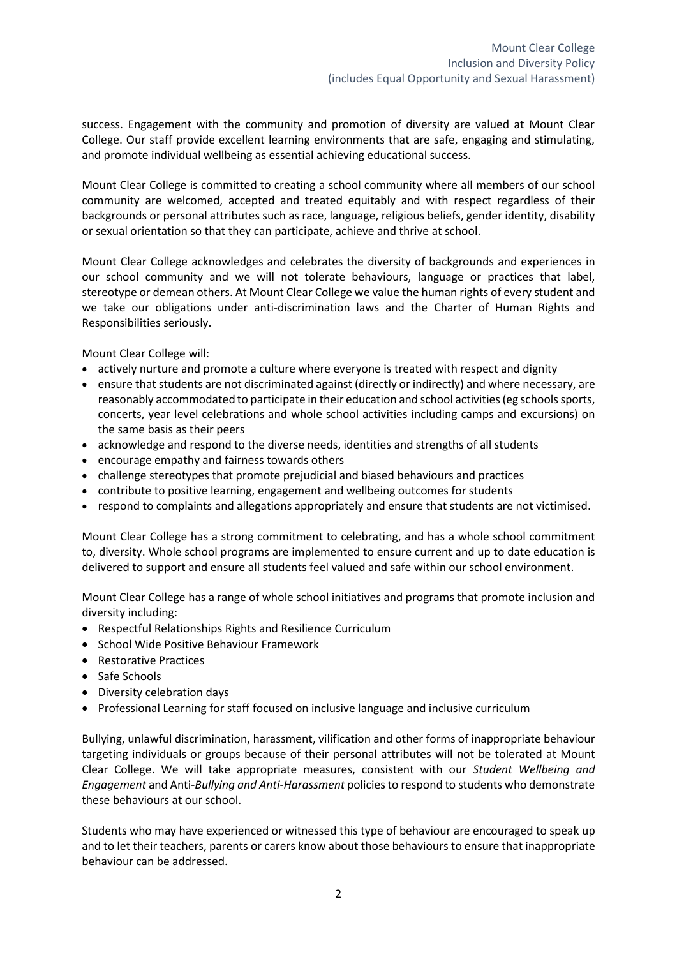success. Engagement with the community and promotion of diversity are valued at Mount Clear College. Our staff provide excellent learning environments that are safe, engaging and stimulating, and promote individual wellbeing as essential achieving educational success.

Mount Clear College is committed to creating a school community where all members of our school community are welcomed, accepted and treated equitably and with respect regardless of their backgrounds or personal attributes such as race, language, religious beliefs, gender identity, disability or sexual orientation so that they can participate, achieve and thrive at school.

Mount Clear College acknowledges and celebrates the diversity of backgrounds and experiences in our school community and we will not tolerate behaviours, language or practices that label, stereotype or demean others. At Mount Clear College we value the human rights of every student and we take our obligations under anti-discrimination laws and the Charter of Human Rights and Responsibilities seriously.

Mount Clear College will:

- actively nurture and promote a culture where everyone is treated with respect and dignity
- ensure that students are not discriminated against (directly or indirectly) and where necessary, are reasonably accommodated to participate in their education and school activities(eg schools sports, concerts, year level celebrations and whole school activities including camps and excursions) on the same basis as their peers
- acknowledge and respond to the diverse needs, identities and strengths of all students
- encourage empathy and fairness towards others
- challenge stereotypes that promote prejudicial and biased behaviours and practices
- contribute to positive learning, engagement and wellbeing outcomes for students
- respond to complaints and allegations appropriately and ensure that students are not victimised.

Mount Clear College has a strong commitment to celebrating, and has a whole school commitment to, diversity. Whole school programs are implemented to ensure current and up to date education is delivered to support and ensure all students feel valued and safe within our school environment.

Mount Clear College has a range of whole school initiatives and programs that promote inclusion and diversity including:

- Respectful Relationships Rights and Resilience Curriculum
- School Wide Positive Behaviour Framework
- Restorative Practices
- Safe Schools
- Diversity celebration days
- Professional Learning for staff focused on inclusive language and inclusive curriculum

Bullying, unlawful discrimination, harassment, vilification and other forms of inappropriate behaviour targeting individuals or groups because of their personal attributes will not be tolerated at Mount Clear College. We will take appropriate measures, consistent with our *Student Wellbeing and Engagement* and Anti-*Bullying and Anti-Harassment* policies to respond to students who demonstrate these behaviours at our school.

Students who may have experienced or witnessed this type of behaviour are encouraged to speak up and to let their teachers, parents or carers know about those behaviours to ensure that inappropriate behaviour can be addressed.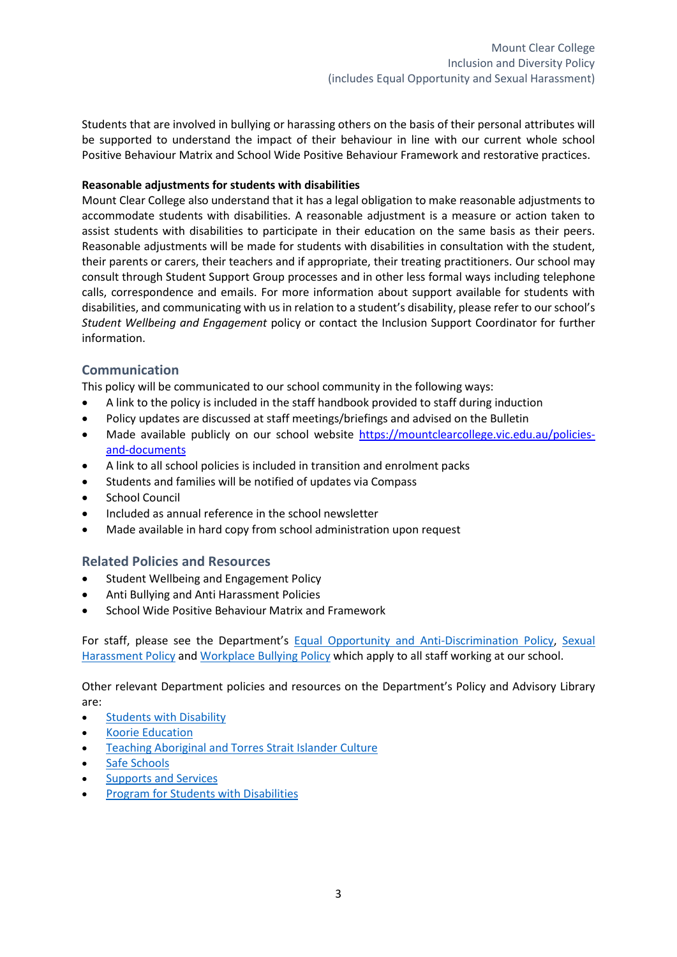Students that are involved in bullying or harassing others on the basis of their personal attributes will be supported to understand the impact of their behaviour in line with our current whole school Positive Behaviour Matrix and School Wide Positive Behaviour Framework and restorative practices.

### **Reasonable adjustments for students with disabilities**

Mount Clear College also understand that it has a legal obligation to make reasonable adjustments to accommodate students with disabilities. A reasonable adjustment is a measure or action taken to assist students with disabilities to participate in their education on the same basis as their peers. Reasonable adjustments will be made for students with disabilities in consultation with the student, their parents or carers, their teachers and if appropriate, their treating practitioners. Our school may consult through Student Support Group processes and in other less formal ways including telephone calls, correspondence and emails. For more information about support available for students with disabilities, and communicating with us in relation to a student's disability, please refer to our school's *Student Wellbeing and Engagement* policy or contact the Inclusion Support Coordinator for further information.

## **Communication**

This policy will be communicated to our school community in the following ways:

- A link to the policy is included in the staff handbook provided to staff during induction
- Policy updates are discussed at staff meetings/briefings and advised on the Bulletin
- Made available publicly on our school website [https://mountclearcollege.vic.edu.au/policies](https://mountclearcollege.vic.edu.au/policies-and-documents)[and-documents](https://mountclearcollege.vic.edu.au/policies-and-documents)
- A link to all school policies is included in transition and enrolment packs
- Students and families will be notified of updates via Compass
- School Council
- Included as annual reference in the school newsletter
- Made available in hard copy from school administration upon request

## **Related Policies and Resources**

- Student Wellbeing and Engagement Policy
- Anti Bullying and Anti Harassment Policies
- School Wide Positive Behaviour Matrix and Framework

For staff, please see the Department's [Equal Opportunity and Anti-Discrimination Policy,](https://www2.education.vic.gov.au/pal/equal-opportunity/policy-and-guidelines) [Sexual](https://www2.education.vic.gov.au/pal/sexual-harassment/policy-and-guidelines)  [Harassment Policy](https://www2.education.vic.gov.au/pal/sexual-harassment/policy-and-guidelines) and [Workplace Bullying Policy](https://www2.education.vic.gov.au/pal/workplace-bullying/policy) which apply to all staff working at our school.

Other relevant Department policies and resources on the Department's Policy and Advisory Library are:

- [Students with Disability](https://www2.education.vic.gov.au/pal/students-disability/policy)
- [Koorie Education](https://www2.education.vic.gov.au/pal/koorie-education/policy)
- [Teaching Aboriginal and Torres Strait](http://www.education.vic.gov.au/school/teachers/teachingresources/multicultural/Pages/koorieculture.aspx) Islander Culture
- [Safe Schools](http://www.education.vic.gov.au/about/programs/health/Pages/safe-schools-coalition.aspx?Redirect=1#link8)
- Supports [and Services](http://www.education.vic.gov.au/school/parents/needs/Pages/supportservices.aspx)
- **Program for Students with Disabilities**